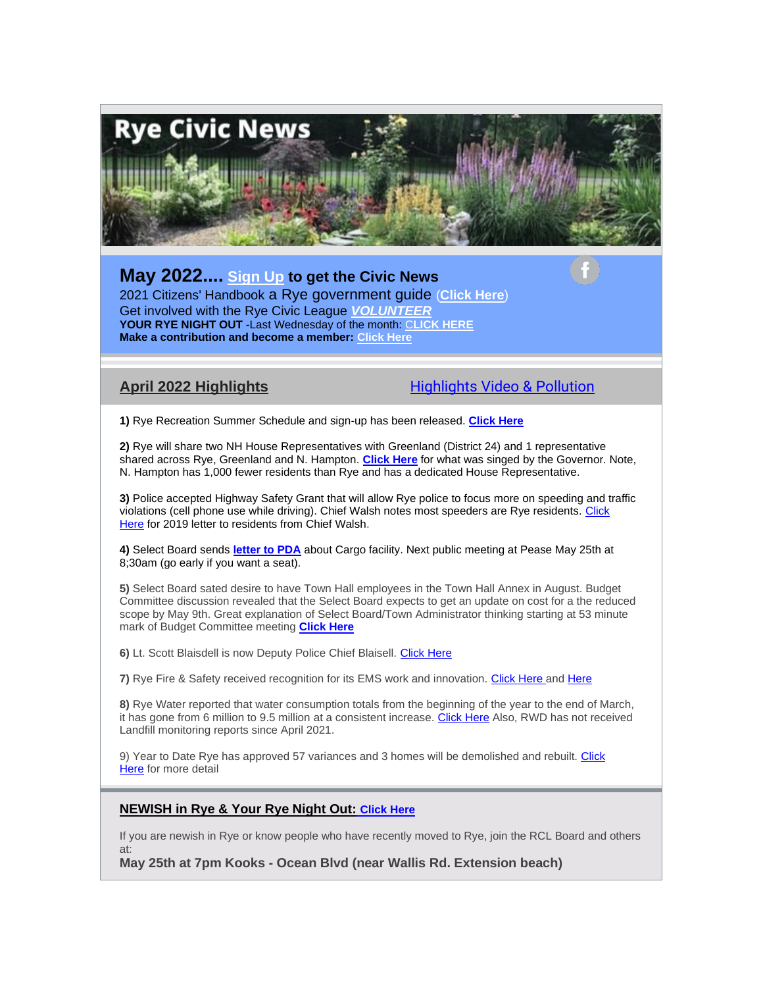

# **May 2022.... [Sign Up](https://ryecivicleague.org/?page_id=5112) to get the Civic News**

2021 Citizens' Handbook a Rye government guide (**[Click Here](https://ryecivicleague.org/wp-content/uploads/2021/10/final-handbook-2021-Final.pdf)**) Get involved with the Rye Civic League *[VOLUNTEER](https://ryecivicleague.org/?page_id=14)* **YOUR RYE NIGHT OUT** -Last Wednesday of the month: [C](https://ryecivicleague.org/?p=6194)**[LICK HERE](https://ryecivicleague.org/?p=6194) Make a contribution and become a member: [Click Here](https://www.paypal.com/donate?hosted_button_id=TF7ZYQ2M4EJR4)**

**April 2022 Highlights**....................................Highlights Video & Pollution

**1)** Rye Recreation Summer Schedule and sign-up has been released. **[Click Here](https://www.town.rye.nh.us/sites/g/files/vyhlif3751/f/uploads/2022_rye_recreation_summer_newsletter_final.pdf)**

**2)** Rye will share two NH House Representatives with Greenland (District 24) and 1 representative shared across Rye, Greenland and N. Hampton. **[Click Here](http://gencourt.state.nh.us/bill_status/billinfo.aspx?id=610&inflect=2)** for what was singed by the Governor. Note, N. Hampton has 1,000 fewer residents than Rye and has a dedicated House Representative.

**3)** Police accepted Highway Safety Grant that will allow Rye police to focus more on speeding and traffic violations (cell phone use while driving). Chief Walsh notes most speeders are Rye residents. [Click](https://ryecivicleague.org/wp-content/uploads/2022/04/Citizen-letter-speed-2019.pdf)  [Here](https://ryecivicleague.org/wp-content/uploads/2022/04/Citizen-letter-speed-2019.pdf) for 2019 letter to residents from Chief Walsh.

**4)** Select Board sends **[letter to PDA](https://ryecivicleague.org/wp-content/uploads/2022/04/Ltr-to-PDA-Cargo-Facilities.pdf)** about Cargo facility. Next public meeting at Pease May 25th at 8;30am (go early if you want a seat).

**5)** Select Board sated desire to have Town Hall employees in the Town Hall Annex in August. Budget Committee discussion revealed that the Select Board expects to get an update on cost for a the reduced scope by May 9th. Great explanation of Select Board/Town Administrator thinking starting at 53 minute mark of Budget Committee meeting **[Click Here](https://townhallstreams.com/stream.php?location_id=32&id=44611)**

**6)** Lt. Scott Blaisdell is now Deputy Police Chief Blaisell. [Click Here](https://ryecivicleague.org/?p=6543)

**7)** Rye Fire & Safety received recognition for its EMS work and innovation. [Click Here](https://ryecivicleague.org/wp-content/uploads/2022/04/Scans_20220426_134025.pdf) and [Here](https://ryecivicleague.org/wp-content/uploads/2022/04/Rye-Cardiac-Save.pdf)

**8)** Rye Water reported that water consumption totals from the beginning of the year to the end of March, it has gone from 6 million to 9.5 million at a consistent increase. [Click Here](https://www.ryewaterdistrict.com/documents/1076/RWD_Minutes_4-06-22.pdf) Also, RWD has not received Landfill monitoring reports since April 2021.

9) Year to Date Rye has approved 57 variances and 3 homes will be demolished and rebuilt. Click [Here](https://ryecivicleague.org/wp-content/uploads/2022/04/Apr-22-ZBA.pdf) for more detail

### **NEWISH in Rye & Your Rye Night Out[:](https://www.town.rye.nh.us/sites/g/files/vyhlif3751/f/uploads/volunteer_opportunities_34.pdf) [Click Here](https://ryecivicleague.org/?p=6194)**

If you are newish in Rye or know people who have recently moved to Rye, join the RCL Board and others at:

**May 25th at 7pm Kooks - Ocean Blvd (near Wallis Rd. Extension beach)**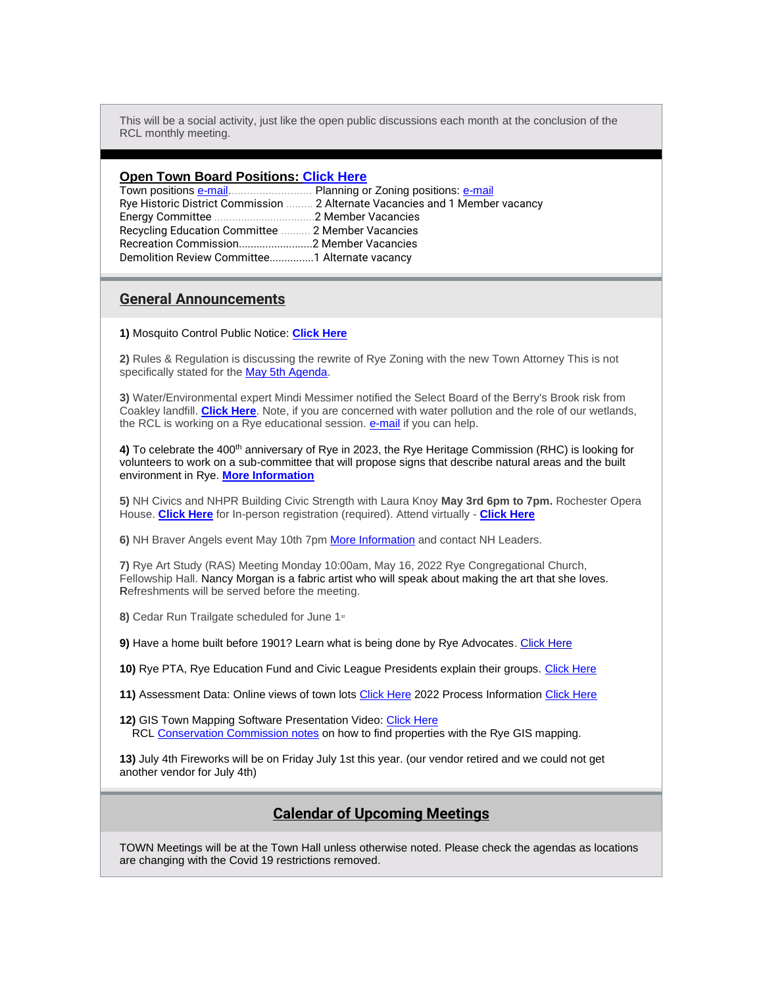This will be a social activity, just like the open public discussions each month at the conclusion of the RCL monthly meeting.

#### **Open Town Board Positions: [Click Here](https://www.town.rye.nh.us/sites/g/files/vyhlif3751/f/uploads/volunteer_opportunities_34.pdf)**

|                                                   | Rye Historic District Commission  2 Alternate Vacancies and 1 Member vacancy |
|---------------------------------------------------|------------------------------------------------------------------------------|
|                                                   |                                                                              |
| Recycling Education Committee  2 Member Vacancies |                                                                              |
|                                                   |                                                                              |
| Demolition Review Committee1 Alternate vacancy    |                                                                              |

### **General Announcements**

**1)** Mosquito Control Public Notice: **[Click Here](https://www.town.rye.nh.us/sites/g/files/vyhlif3751/f/uploads/rye_spray_notice_2022.pdf)**

**2)** Rules & Regulation is discussing the rewrite of Rye Zoning with the new Town Attorney This is not specifically stated for the [May 5th Agenda.](https://www.town.rye.nh.us/sites/g/files/vyhlif3751/f/agendas/5-5-2022_rules_and_regs_agenda.pdf)

**3)** Water/Environmental expert Mindi Messimer notified the Select Board of the Berry's Brook risk from Coakley landfill. **[Click Here](https://ryecivicleague.org/wp-content/uploads/2022/04/Messemer-Coakley.pdf)**. Note, if you are concerned with water pollution and the role of our wetlands, the RCL is working on a Rye educational session. **[e-mail](mailto:civicnews@ryecivicleague.org)** if you can help.

4) To celebrate the 400<sup>th</sup> anniversary of Rye in 2023, the Rye Heritage Commission (RHC) is looking for volunteers to work on a sub-committee that will propose signs that describe natural areas and the built environment in Rye. **[More Information](https://ryecivicleague.org/?p=6417)**

**5)** NH Civics and NHPR Building Civic Strength with Laura Knoy **May 3rd 6pm to 7pm.** Rochester Opera House. **[Click Here](https://www.eventbrite.com/e/building-civic-strength-from-rochester-opera-house-in-person-tickets-272106396557?aff=odcleoeventsincollection)** for In-person registration (required). Attend virtually - **[Click Here](https://www.eventbrite.com/e/building-civic-strength-from-rochester-opera-house-virtual-tickets-272102876027?aff=odcleoeventsincollection)**

**6)** NH Braver Angels event May 10th 7pm [More Information](https://ryecivicleague.org/?p=6545) and contact NH Leaders.

**7)** Rye Art Study (RAS) Meeting Monday 10:00am, May 16, 2022 Rye Congregational Church, Fellowship Hall. Nancy Morgan is a fabric artist who will speak about making the art that she loves. Refreshments will be served before the meeting.

8) Cedar Run Trailgate scheduled for June 1<sup>st</sup>

**9)** Have a home built before 1901? Learn what is being done by Rye Advocates. [Click Here](https://ryecivicleague.org/?p=5823)

**10)** Rye PTA, Rye Education Fund and Civic League Presidents explain their groups. [Click Here](https://youtu.be/DWks0m4ykZA)

**11)** Assessment Data: Online views of town lots [Click Here](http://r20.rs6.net/tn.jsp?t=xkvxbzabb.0.0.dyij4jiab.0&id=preview&r=3&p=http%3A%2F%2Fwww.caigisonline.com%2FRyeNH) 2022 Process Information [Click Here](https://www.town.rye.nh.us/assessing-department/pages/2022-revaluation-information)

**12)** GIS Town Mapping Software Presentation Video: [Click Here](http://r20.rs6.net/tn.jsp?t=xkvxbzabb.0.0.dyij4jiab.0&id=preview&r=3&p=http%3A%2F%2Fwww.townhallstreams.com%2Flocations%2Frye-public-library%2Fevents%2F24445%2Frye_public_library2) RCL [Conservation Commission notes](http://r20.rs6.net/tn.jsp?t=xkvxbzabb.0.0.dyij4jiab.0&id=preview&r=3&p=https%3A%2F%2Fryecivicleague.org%2F%3Fp%3D4283) on how to find properties with the Rye GIS mapping.

**13)** July 4th Fireworks will be on Friday July 1st this year. (our vendor retired and we could not get another vendor for July 4th)

### **Calendar of Upcoming Meetings**

TOWN Meetings will be at the Town Hall unless otherwise noted. Please check the agendas as locations are changing with the Covid 19 restrictions removed.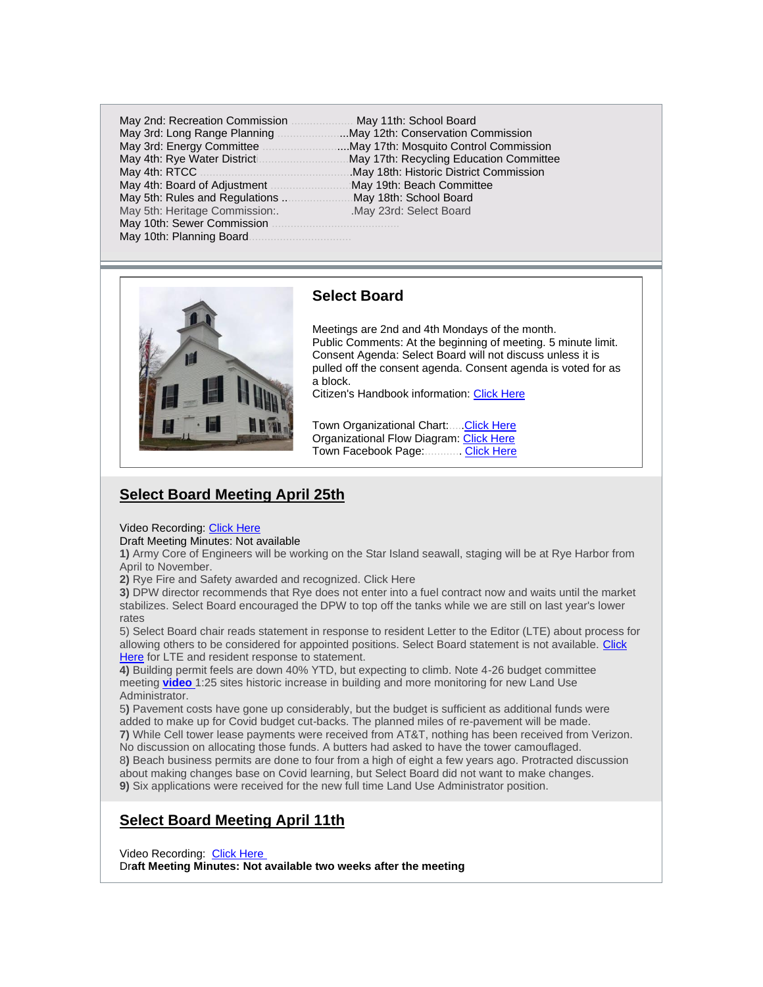| May 4th: Rye Water District <b>Construct</b> May 17th: |            |
|--------------------------------------------------------|------------|
|                                                        | May 18th   |
|                                                        | :May 19th: |
|                                                        | May 18th   |
| May 5th: Heritage Commission:.                         | May 23rd   |
|                                                        |            |
|                                                        |            |
|                                                        |            |

May 11th: School Board ...May 12th: Conservation Commission ....May 17th: Mosquito Control Commission May 17th: Recycling Education Committee May 18th: Historic District Commission May 19th: Beach Committee May 18th: School Board May 23rd: Select Board.



### **Select Board**

Meetings are 2nd and 4th Mondays of the month. Public Comments: At the beginning of meeting. 5 minute limit. Consent Agenda: Select Board will not discuss unless it is pulled off the consent agenda. Consent agenda is voted for as a block.

Citizen's Handbook information: [Click Here](https://ryecivicleague.org/wp-content/uploads/2020/10/Select-Board-2020.pdf)

Town Organizational Chart:...[..Click Here](https://www.town.rye.nh.us/sites/g/files/vyhlif3751/f/uploads/organizational_chart.pdf) Organizational Flow Diagram: [Click Here](https://www.town.rye.nh.us/sites/g/files/vyhlif3751/f/uploads/organizational_chart_info.pdf) Town Facebook Page:............. [Click Here](https://www.facebook.com/TownofRyeNH/?rf=138323789548498)

# **Select Board Meeting April 25th**

# Video Recording: [Click Here](https://townhallstreams.com/stream.php?location_id=32&id=44610)

### Draft Meeting Minutes: Not available

**1)** Army Core of Engineers will be working on the Star Island seawall, staging will be at Rye Harbor from April to November.

**2)** Rye Fire and Safety awarded and recognized. Click Here

**3)** DPW director recommends that Rye does not enter into a fuel contract now and waits until the market stabilizes. Select Board encouraged the DPW to top off the tanks while we are still on last year's lower rates

5) Select Board chair reads statement in response to resident Letter to the Editor (LTE) about process for allowing others to be considered for appointed positions. Select Board statement is not available. Click [Here](https://ryecivicleague.org/wp-content/uploads/2022/04/S-Joyce-Request-and-LTE.pdf) for LTE and resident response to statement.

**4)** Building permit feels are down 40% YTD, but expecting to climb. Note 4-26 budget committee meeting **[video](https://townhallstreams.com/stream.php?location_id=32&id=44611)** 1:25 sites historic increase in building and more monitoring for new Land Use Administrator.

5**)** Pavement costs have gone up considerably, but the budget is sufficient as additional funds were added to make up for Covid budget cut-backs. The planned miles of re-pavement will be made.

**7)** While Cell tower lease payments were received from AT&T, nothing has been received from Verizon. No discussion on allocating those funds. A butters had asked to have the tower camouflaged. 8**)** Beach business permits are done to four from a high of eight a few years ago. Protracted discussion about making changes base on Covid learning, but Select Board did not want to make changes.

**9)** Six applications were received for the new full time Land Use Administrator position.

# **Select Board Meeting April 11th**

Video Recording: Click [Here](https://townhallstreams.com/stream.php?location_id=32&id=44605)

Dr**aft Meeting Minutes: Not available two weeks after the meeting**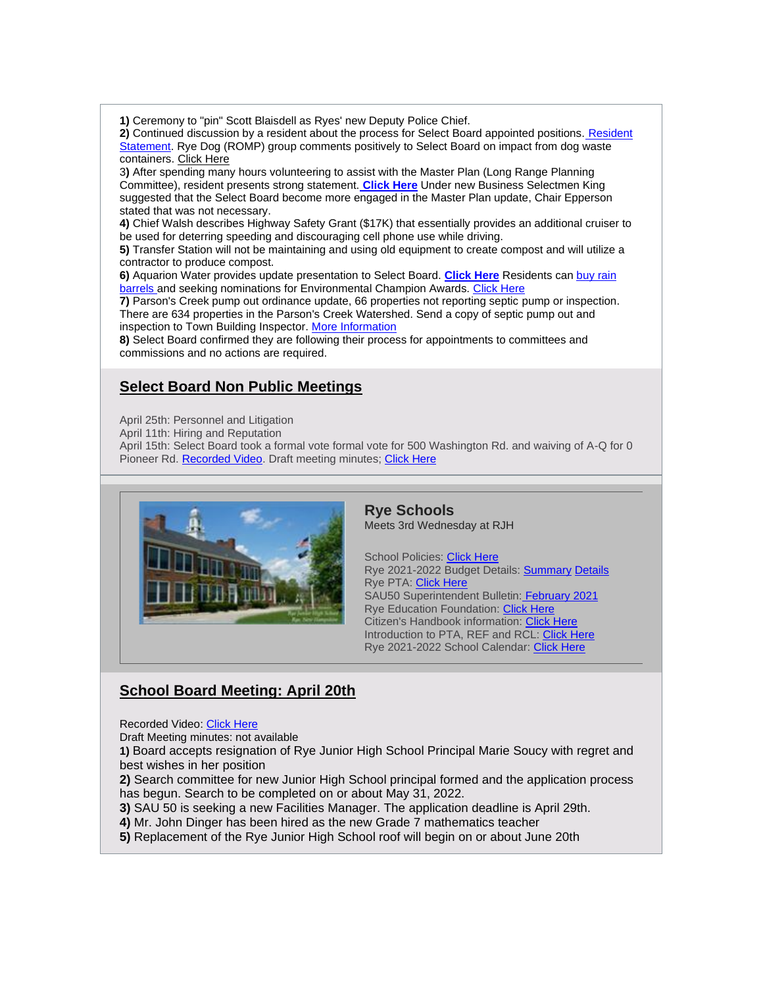**1)** Ceremony to "pin" Scott Blaisdell as Ryes' new Deputy Police Chief.

**2)** Continued discussion by a resident about the process for Select Board appointed positions. [Resident](https://ryecivicleague.org/wp-content/uploads/2022/04/BOS-Meeting-SJ-Notes-04.11.22.pdf)  [Statement.](https://ryecivicleague.org/wp-content/uploads/2022/04/BOS-Meeting-SJ-Notes-04.11.22.pdf) Rye Dog (ROMP) group comments positively to Select Board on impact from dog waste containers. [Click Here](https://ryecivicleague.org/wp-content/uploads/2022/04/Dog-Waste-Bin-Question-no-names.pdf)

3**)** After spending many hours volunteering to assist with the Master Plan (Long Range Planning Committee), resident presents strong statement. **[Click Here](https://ryecivicleague.org/wp-content/uploads/2022/04/D.W.-BOS-April-11th-2022.-Statement.pdf)** Under new Business Selectmen King suggested that the Select Board become more engaged in the Master Plan update, Chair Epperson stated that was not necessary.

**4)** Chief Walsh describes Highway Safety Grant (\$17K) that essentially provides an additional cruiser to be used for deterring speeding and discouraging cell phone use while driving.

**5)** Transfer Station will not be maintaining and using old equipment to create compost and will utilize a contractor to produce compost.

**6)** Aquarion Water provides update presentation to Select Board. **[Click Here](https://ryecivicleague.org/wp-content/uploads/2022/04/Aquarion-Rye-Select-Board-2022_04.pdf)** Residents can [buy rain](https://www.aquarionwater.com/conservation/rain-barrels)  [barrels](https://www.aquarionwater.com/conservation/rain-barrels) and seeking nominations for Environmental Champion Awards. [Click Here](https://www.aquarionwater.com/environment/environmental-champion-awards)

**7)** Parson's Creek pump out ordinance update, 66 properties not reporting septic pump or inspection. There are 634 properties in the Parson's Creek Watershed. Send a copy of septic pump out and inspection to Town Building Inspector. [More Information](https://www.town.rye.nh.us/selectmens-office/pages/pump-out-ordinance)

**8)** Select Board confirmed they are following their process for appointments to committees and commissions and no actions are required.

# **Select Board Non Public Meetings**

April 25th: Personnel and Litigation

April 11th: Hiring and Reputation

April 15th: Select Board took a formal vote formal vote for 500 Washington Rd. and waiving of A-Q for 0 Pioneer Rd. [Recorded Video.](https://townhallstreams.com/stream.php?location_id=32&id=44929) Draft meeting minutes; [Click Here](https://www.town.rye.nh.us/sites/g/files/vyhlif3751/f/minutes/04-15-22_bos_minutes.pdf)



**Rye Schools** Meets 3rd Wednesday at RJH

School Policies: [Click Here](http://sau50.org/about_us/school_board/policies) Rye 2021-2022 Budget Details: [Summary](https://ryecivicleague.org/wp-content/uploads/2021/01/RYE-21-22-FINAL-BUDGET-OVERVIEW.pdf) [Details](https://ryecivicleague.org/wp-content/uploads/2021/01/Rye-2021-2022-Final-Budget-Summary.pdf) Rye PTA: [Click Here](https://www.ryepta.org/) SAU50 Superintendent Bulletin: [February 2021](http://sau50.ss13.sharpschool.com/UserFiles/Servers/Server_124221/File/Superintendent%20Messages/Superintendent%20Bulletin%20February%202021.pdf) Rye Education Foundation: [Click Here](https://www.ryeeducationfoundation.org/) Citizen's Handbook information: [Click Here](https://ryecivicleague.org/wp-content/uploads/2020/10/Schools-2020.pdf) Introduction to PTA, REF and RCL: [Click Here](https://youtu.be/DWks0m4ykZA) Rye 2021-2022 School Calendar: [Click Here](http://sau50.ss13.sharpschool.com/UserFiles/Servers/Server_124221/File/School%20Calendars/Final%202021-2022/RYE%202021-2022%20Final%20%20-%20Calendar.pdf)

# **School Board Meeting: April 20th**

Recorded Video: [Click Here](https://drive.google.com/file/d/13t2qKnxi9p4C4N2QE_zXGhkkSg_ImlXt/view)

Draft Meeting minutes: not available

**1)** Board accepts resignation of Rye Junior High School Principal Marie Soucy with regret and best wishes in her position

**2)** Search committee for new Junior High School principal formed and the application process has begun. Search to be completed on or about May 31, 2022.

**3)** SAU 50 is seeking a new Facilities Manager. The application deadline is April 29th.

**4)** Mr. John Dinger has been hired as the new Grade 7 mathematics teacher

**5)** Replacement of the Rye Junior High School roof will begin on or about June 20th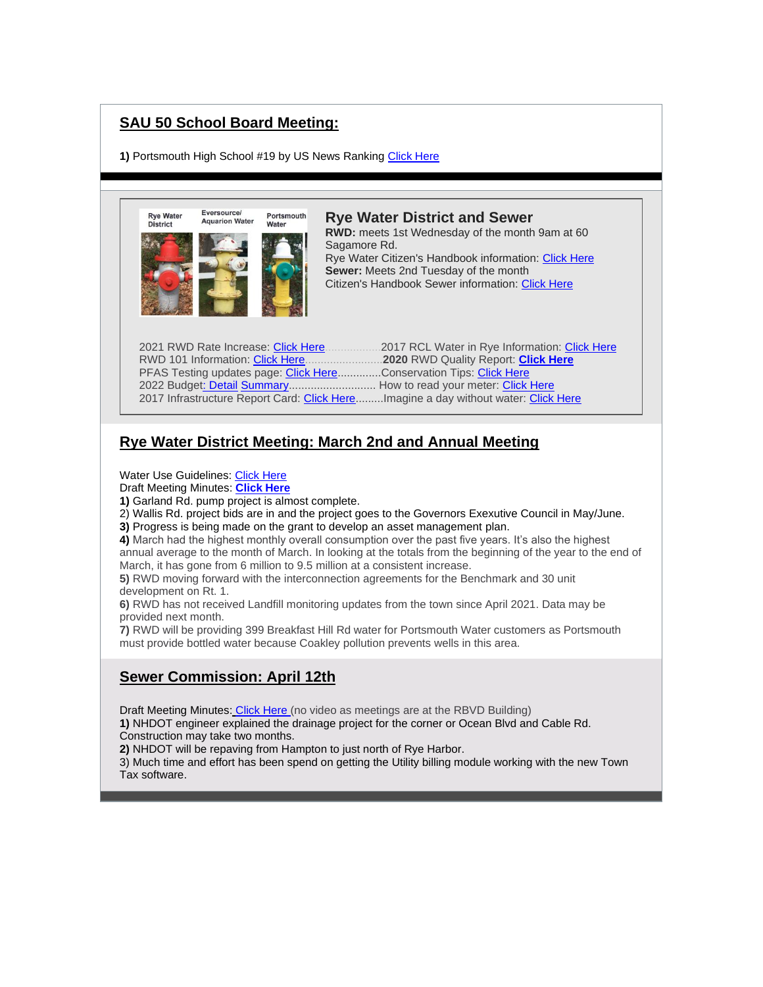# **SAU 50 School Board Meeting:**

1) Portsmouth High School #19 by US News Ranking [Click Here](https://www.usnews.com/education/best-high-schools/new-hampshire/rankings)



# **Rye Water District Meeting: March 2nd and Annual Meeting**

Water Use Guidelines: [Click Here](https://www.ryewaterdistrict.com/images/images_rwi/rwi_1076_2021_Water_Conservation_-_Web_version_1352902479_4269.pdf)

Draft Meeting Minutes: **[Click Here](https://www.ryewaterdistrict.com/documents/1076/RWD_Minutes_4-06-22.pdf)**

**1)** Garland Rd. pump project is almost complete.

2) Wallis Rd. project bids are in and the project goes to the Governors Exexutive Council in May/June.

**3)** Progress is being made on the grant to develop an asset management plan.

**4)** March had the highest monthly overall consumption over the past five years. It's also the highest annual average to the month of March. In looking at the totals from the beginning of the year to the end of March, it has gone from 6 million to 9.5 million at a consistent increase.

**5)** RWD moving forward with the interconnection agreements for the Benchmark and 30 unit development on Rt. 1.

**6)** RWD has not received Landfill monitoring updates from the town since April 2021. Data may be provided next month.

**7)** RWD will be providing 399 Breakfast Hill Rd water for Portsmouth Water customers as Portsmouth must provide bottled water because Coakley pollution prevents wells in this area.

# **Sewer Commission: April 12th**

Draft Meeting Minute[s:](https://www.town.rye.nh.us/sites/g/files/vyhlif3751/f/minutes/2._sewer_commission_meeting_minutes_march_8_2022.pdf) [Click Here](https://www.town.rye.nh.us/sites/g/files/vyhlif3751/f/minutes/4._sewer_commission_meeting_minutes_april_12_2022.pdf) (no video as meetings are at the RBVD Building)

**1)** NHDOT engineer explained the drainage project for the corner or Ocean Blvd and Cable Rd. Construction may take two months.

**2)** NHDOT will be repaving from Hampton to just north of Rye Harbor.

3) Much time and effort has been spend on getting the Utility billing module working with the new Town Tax software.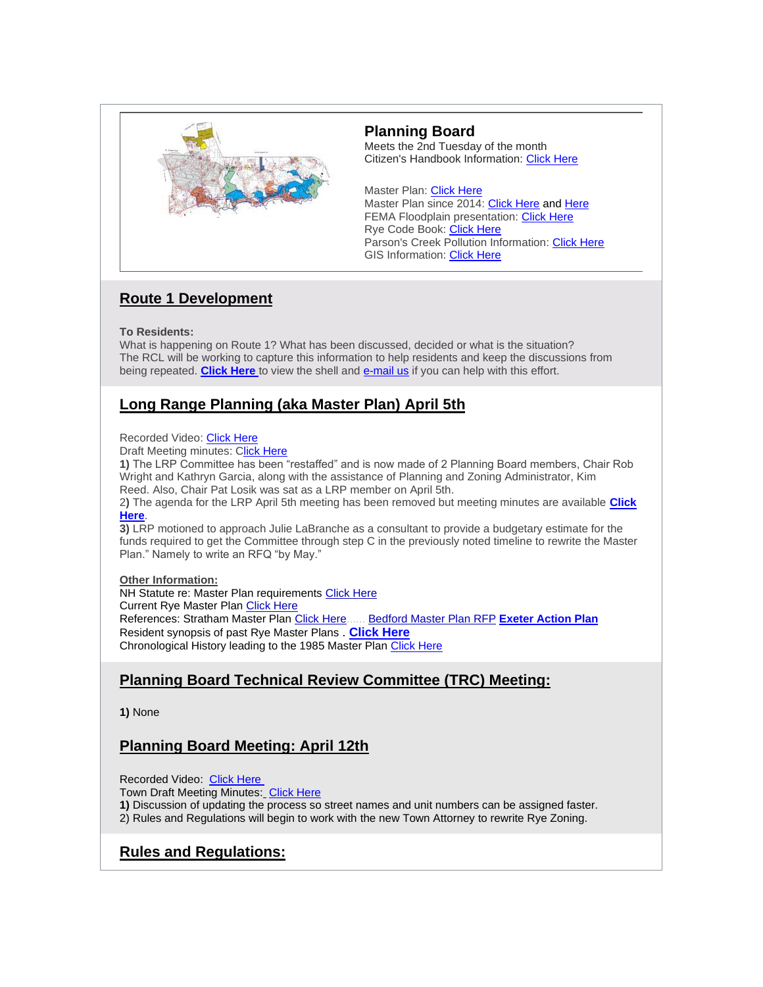

### **Planning Board**

Meets the 2nd Tuesday of the month Citizen's Handbook Information: [Click Here](https://ryecivicleague.org/wp-content/uploads/2020/10/Planning-and-Zoning.pdf)

Master Plan: [Click Here](https://www.town.rye.nh.us/planning-department/pages/master-plan) Master Plan since 2014: [Click Here](https://ryecivicleague.org/wp-content/uploads/2017/09/RCL-News-Master-Plan-updates-timeline-Sept-5-2017.pdf) and [Here](https://ryecivicleague.org/?p=3377) FEMA Floodplain presentation: [Click Here](https://www.town.rye.nh.us/sites/g/files/vyhlif3751/f/news/new_map_presentation_10-15-2020.pdf) Rye Code Book: [Click Here](https://www.town.rye.nh.us/sites/g/files/vyhlif3751/f/pages/town_of_rye_code_book_0.pdf) Parson's Creek Pollution Information: [Click Here](https://ryecivicleague.org/?p=2630) GIS Information: [Click Here](https://www.axisgis.com/RyeNH/Default.aspx)

# **Route 1 Development**

### **To Residents:**

What is happening on Route 1? What has been discussed, decided or what is the situation? The RCL will be working to capture this information to help residents and keep the discussions from being repeated. **[Click Here](https://ryecivicleague.org/wp-content/uploads/2022/04/Ryes-Route-1-draft-shell-V1-April-22.pdf)** to view the shell and **[e-mail us](mailto:civicnews@ryecivicleague.org)** if you can help with this effort.

# **Long Range Planning (aka Master Plan) April 5th**

### Recorded Video: [Click Here](https://townhallstreams.com/stream.php?location_id=32&id=44709)

Draft Meeting minutes: [Click Here](https://www.town.rye.nh.us/sites/g/files/vyhlif3751/f/minutes/lrp_minutes_4-05-22.pdf)

**1)** The LRP Committee has been "restaffed" and is now made of 2 Planning Board members, Chair Rob Wright and Kathryn Garcia, along with the assistance of Planning and Zoning Administrator, Kim Reed. Also, Chair Pat Losik was sat as a LRP member on April 5th.

2**)** The agenda for the LRP April 5th meeting has been removed but meeting minutes are available **[Click](https://www.town.rye.nh.us/sites/g/files/vyhlif3751/f/minutes/lrp_minutes_4-05-22.pdf)  [Here](https://www.town.rye.nh.us/sites/g/files/vyhlif3751/f/minutes/lrp_minutes_4-05-22.pdf)**.

**3)** LRP motioned to approach Julie LaBranche as a consultant to provide a budgetary estimate for the funds required to get the Committee through step C in the previously noted timeline to rewrite the Master Plan." Namely to write an RFQ "by May."

### **Other Information:**

NH Statute re: Master Plan requirements [Click Here](https://ryecivicleague.org/wp-content/uploads/2021/03/NH-Title-64-section-674-Planning.pdf) Current Rye Master Plan [Click Here](https://www.town.rye.nh.us/planning-department/pages/master-plan) References: Stratham Master Plan [Click Here.](https://www.strathamnh.gov/sites/g/files/vyhlif5051/f/uploads/2019.11.20_masterplan_adopted.pdf)..... [Bedford Master Plan RFP](http://granitestatefutures.org/news/wp-content/uploads/2018/06/Bedford_Master_Plan_RFP_2_27_2018.pdf) **[Exeter Action Plan](https://www.exeternh.gov/sites/default/files/fileattachments/planning_amp_sustainability/page/10161/master_plan_analysis_memo_to_pb_4-8-2021.pdf)** Resident synopsis of past Rye Master Plans . **[Click Here](https://ryecivicleague.org/wp-content/uploads/2021/02/Opinion-Feb-Master-Plan-2021.pdf)** Chronological History leading to the 1985 Master Plan [Click Here](https://ryecivicleague.org/wp-content/uploads/2021/05/Chronology-of-the-Rye-MP-May-2021.pdf)

# **Planning Board Technical Review Committee (TRC) Meeting:**

**1)** None

# **Planning Board Meeting: April 12th**

Recorded Video: [Click Here](https://townhallstreams.com/stream.php?location_id=66&id=44613)

Town Draft Meeting Minutes[:](https://www.town.rye.nh.us/sites/g/files/vyhlif3751/f/minutes/pb_minutes_3-09-21.pdf) [Click Here](https://www.town.rye.nh.us/sites/g/files/vyhlif3751/f/minutes/pb_minutes_4-12-22.pdf)

**1)** Discussion of updating the process so street names and unit numbers can be assigned faster.

2) Rules and Regulations will begin to work with the new Town Attorney to rewrite Rye Zoning.

# **Rules and Regulations:**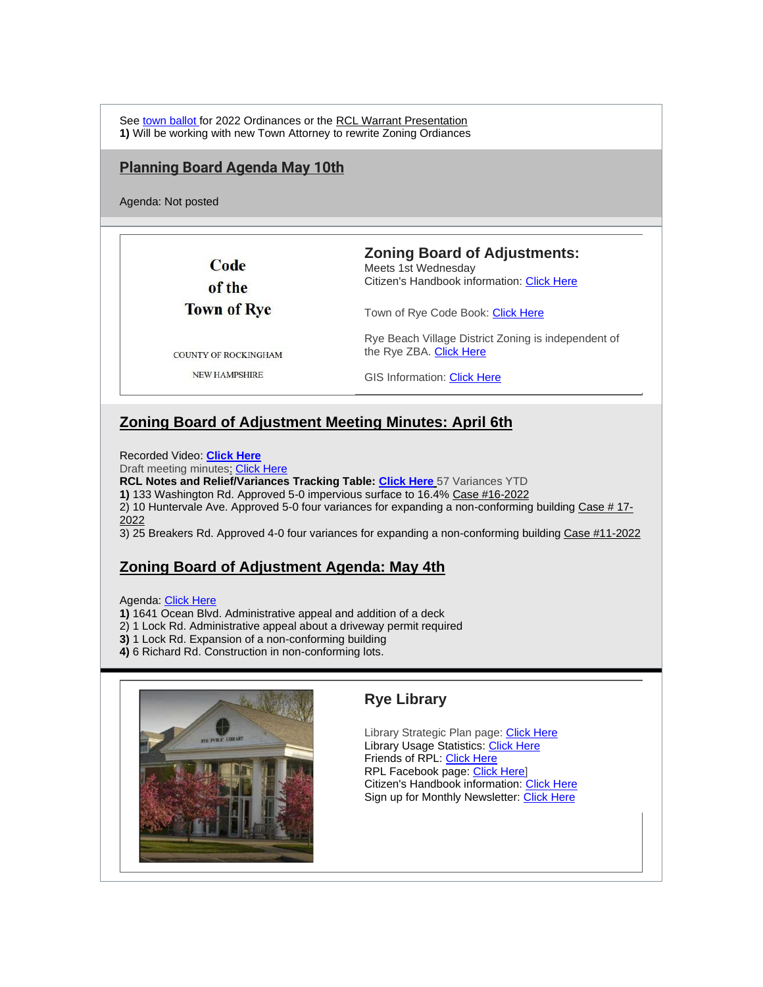See [town ballot](https://www.town.rye.nh.us/sites/g/files/vyhlif3751/f/uploads/sample_ballot_3-8-22.pdf) for 2022 Ordinances or the [RCL Warrant Presentation](https://ryecivicleague.org/wp-content/uploads/2022/02/RCL-2022-Warrant-Articles-post-Delib-Meeting.pdf) **1)** Will be working with new Town Attorney to rewrite Zoning Ordiances

### **Planning Board Agenda May 10th**

Agenda: Not posted

Code of the **Town of Rye**  **Zoning Board of Adjustments:**

Meets 1st Wednesday Citizen's Handbook information: [Click Here](https://ryecivicleague.org/wp-content/uploads/2020/10/zba-2020.pdf)

Rye Beach Village District Zoning is independent of

Town of Rye Code Book: [Click Here](https://www.town.rye.nh.us/sites/g/files/vyhlif3751/f/pages/town_of_rye_code_book_0.pdf)

COUNTY OF ROCKINGHAM

the Rye ZBA. [Click Here](https://www.town.rye.nh.us/building-inspection-code-enforcement/pages/rye-beach-village-district)

**NEW HAMPSHIRE** 

GIS Information: [Click Here](https://www.axisgis.com/RyeNH/Default.aspx)

# **Zoning Board of Adjustment Meeting Minutes: April 6th**

Recorded Video: **[Click Here](https://townhallstreams.com/stream.php?location_id=66&id=44612)**

Draft meeting minute[s:](https://townhallstreams.com/stream.php?location_id=66&id=44071) [Click Here](https://www.town.rye.nh.us/sites/g/files/vyhlif3751/f/minutes/boa_minutes-4-6-22.pdf)

**RCL Notes and Relief/Variances Tracking Table: [Click Here](https://ryecivicleague.org/wp-content/uploads/2022/04/Apr-22-ZBA.pdf)** [5](https://ryecivicleague.org/wp-content/uploads/2022/02/Feb-ZBA-2022.pdf)7 Variances YTD

**1)** 133 Washington Rd. Approved 5-0 impervious surface to 16.4% [Case #16-2022](https://ryecivicleague.org/wp-content/uploads/2022/04/ZBA-Case-16-2022.pdf)

2) 10 Huntervale Ave. Approved 5-0 four variances for expanding a non-conforming building  $\frac{ \text{Case } # \ 17}{ \cdot}$ [2022](https://ryecivicleague.org/wp-content/uploads/2022/04/ZBA-Case-17-2022.pdf)

3) 25 Breakers Rd. Approved 4-0 four variances for expanding a non-conforming building [Case #11-2022](https://ryecivicleague.org/wp-content/uploads/2022/04/ZBA-Case-11-2022.pdf)

# **Zoning Board of Adjustment Agenda: May 4th**

Agenda: [Click Here](https://www.town.rye.nh.us/sites/g/files/vyhlif3751/f/agendas/may_4_2022.pdf)

- **1)** 1641 Ocean Blvd. Administrative appeal and addition of a deck
- 2) 1 Lock Rd. Administrative appeal about a driveway permit required
- **3)** 1 Lock Rd. Expansion of a non-conforming building
- **4)** 6 Richard Rd. Construction in non-conforming lots.



# **Rye Library**

Library Strategic Plan page: [Click Here](https://ryepubliclibrary.org/about-us/strategic-planning/2018-2023-strategic-plan/) Library Usage Statistics: [Click Here](https://www.dropbox.com/sh/dgn0vhq94lifxs1/AAA6YffiXJVmd5dGXOUI0tvJa?dl=0&preview=2019+Stats+Poster+8.5x11.pdf) Friends of RPL: [Click Here](https://ryepubliclibrary.org/resources/library-services/friends-of-rpl/) RPL Facebook page: [Click Here\]](https://www.facebook.com/Rye-Public-Library-188221514543239/) Citizen's Handbook information: [Click Here](https://ryecivicleague.org/wp-content/uploads/2020/10/LBOT-2020.pdf) Sign up for Monthly Newsletter: [Click Here](https://visitor.r20.constantcontact.com/manage/optin?v=001MsT4_iATVeTU-SV46q230qUUkp3wl0BLYawihMo9DX0E-z2BvZ2kz4xq5cWzL5hz9yQit5uMPAVP3vGO2XicGZo0S3bom_SuuJ0gQP_QQIb1MGIV9mXMSo4I2rq6-ZP3CPCTakBYXRtlAK7UQtE-N_-B7xbVvwE0)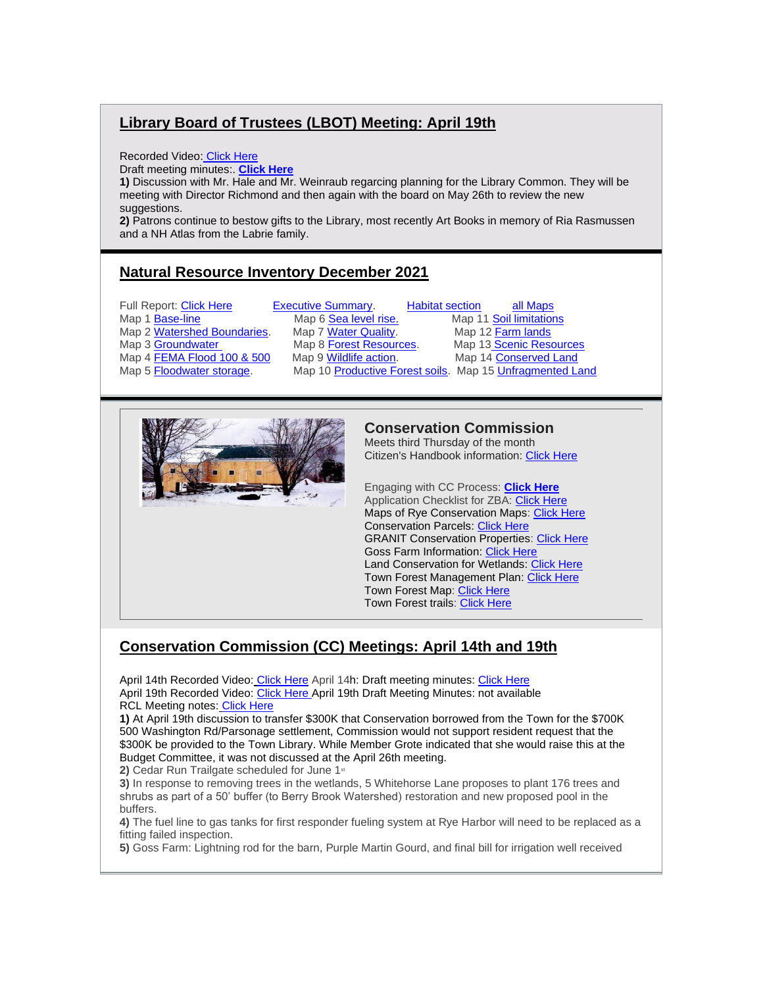# **Library Board of Trustees (LBOT) Meeting: April 19th**

Recorded Video: [Click Here](https://townhallstreams.com/stream.php?location_id=66&id=44942)

Draft meeting minutes:. **[Click Here](https://ryecivicleague.org/wp-content/uploads/2022/04/Rye-Public-Library-draft-meeting-minutes_April-19-2022.pdf)**

**1)** Discussion with Mr. Hale and Mr. Weinraub regarcing planning for the Library Common. They will be meeting with Director Richmond and then again with the board on May 26th to review the new suggestions.

**2)** Patrons continue to bestow gifts to the Library, most recently Art Books in memory of Ria Rasmussen and a NH Atlas from the Labrie family.

# **Natural Resource Inventory December 2021**

Full Report: [Click Here.](https://ryecivicleague.org/wp-content/uploads/2022/04/rye_nri_report_2021.pdf)...........[.Executive Summary.](https://ryecivicleague.org/wp-content/uploads/2022/04/Exec-Summary.pdf)........[..Habitat section.](https://ryecivicleague.org/wp-content/uploads/2022/04/Habitat-Protection.pdf)........ [all Maps](https://ryecivicleague.org/wp-content/uploads/2022/04/NRI-all-Maps.pdf) Map 1 [Base-line](https://ryecivicleague.org/wp-content/uploads/2022/04/NRI-Map-1-Base-Line.pdf) ............................ Map 6 [Sea level rise..](https://ryecivicleague.org/wp-content/uploads/2022/04/NRI-Map-6-Sealevel-rise.pdf)................Map 11 [Soil limitations](https://ryecivicleague.org/wp-content/uploads/2022/04/NRI-Map-11-Soil-limitations.pdf) Map 2 [Watershed Boundaries.](https://ryecivicleague.org/wp-content/uploads/2022/04/NRI-Map-2-Wetlands-Boundries.pdf) Map 7 [Water Quality.](https://ryecivicleague.org/wp-content/uploads/2022/04/NRI-Map-7-Shellfish.pdf) Map 12 [Farm lands](https://ryecivicleague.org/wp-content/uploads/2022/04/NRI-Map-12-Farmlands.pdf) Map 3 [Groundwater](https://ryecivicleague.org/wp-content/uploads/2022/04/NRI-Map-3-Groundwater.pdf) .......................Map 8 [Forest Resources.](https://ryecivicleague.org/wp-content/uploads/2022/04/NRI-Map-8-Forest-Resources.pdf)...........Map 13 [Scenic Resources](https://ryecivicleague.org/wp-content/uploads/2022/04/NRI-Map-13-Scenic.pdf) Map 4 [FEMA Flood 100 & 500](https://ryecivicleague.org/wp-content/uploads/2022/04/NRI-Map-4-FEMA.pdf) ......Map 9 [Wildlife action.](https://ryecivicleague.org/wp-content/uploads/2022/04/NRI-Map-9-Wildlife.pdf)..................Map 14 [Conserved Land](https://ryecivicleague.org/wp-content/uploads/2022/04/NRI-Map-14-Isles-of-Shoals.pdf) Map 10 [Productive Forest soils.](https://ryecivicleague.org/wp-content/uploads/2022/04/NRI-Map-10-Productive-Soil.pdf) Map 15 [Unfragmented Land](https://ryecivicleague.org/wp-content/uploads/2022/04/NRI-Map-15-fragmented-land.pdf)



### **Conservation Commission**

Meets third Thursday of the month Citizen's Handbook information: [Click Here](https://ryecivicleague.org/wp-content/uploads/2020/10/Conservation-Commission-2020.pdf)

Engaging with CC Process: **[Click Here](https://www.town.rye.nh.us/conservation-commission/pages/process-nhdes-wetlands-applications-regular-expedited-and-shoreland)** Application Checklist for ZBA: [Click Here](https://www.town.rye.nh.us/sites/g/files/vyhlif3751/f/uploads/application_checklist_zba.pdf) Maps of Rye Conservation Maps: [Click Here](https://www.town.rye.nh.us/conservation-commission/pages/maps-conservation-lands-rye) Conservation Parcels: [Click Here](https://www.town.rye.nh.us/sites/g/files/vyhlif3751/f/uploads/conslands_ryemp_24x36.pdf) GRANIT Conservation Properties: [Click Here](https://www.town.rye.nh.us/sites/g/files/vyhlif3751/f/uploads/conservation_land.pdf) Goss Farm Information: [Click Here](https://www.town.rye.nh.us/conservation-commission/pages/goss-farm-information) Land Conservation for Wetlands: [Click Here](https://www.town.rye.nh.us/sites/g/files/vyhlif3751/f/uploads/nature_conservancy_nh_granit_nhdes_land_conservation_for_water_resource_protection_map_buffers_for_water_quality_protection_2018.pdf) Town Forest Management Plan: [Click Here](https://www.town.rye.nh.us/sites/g/files/vyhlif3751/f/uploads/town_forest_management_plan_-_final_08-2020.pdf) Town Forest Map: [Click Here](https://www.town.rye.nh.us/sites/g/files/vyhlif3751/f/uploads/featuresmap.pdf) Town Forest trails: [Click Here](https://www.town.rye.nh.us/sites/g/files/vyhlif3751/f/uploads/map_1.pdf)

# **Conservation Commission (CC) Meetings: April 14th and 19th**

April 14th Recorded Vide[o:](https://townhallstreams.com/stream.php?location_id=32&id=44066) [Click Here](https://townhallstreams.com/stream.php?location_id=32&id=44607) April 14h: Draft meeting minutes: [Click Here](https://www.town.rye.nh.us/sites/g/files/vyhlif3751/f/minutes/04-14-22_cc_minutes.pdf) April 19th Recorded Video: [Click Here](https://townhallstreams.com/stream.php?location_id=32&id=44930) April 19th Draft Meeting Minutes: not available RCL Meeting note[s:](https://ryecivicleague.org/wp-content/uploads/2022/04/March-2022-Rye-Conservation-Notes.pdf) [Click Here](https://ryecivicleague.org/wp-content/uploads/2022/04/April-22-Rye-Conservation-Commission.pdf)

**1)** At April 19th discussion to transfer \$300K that Conservation borrowed from the Town for the \$700K 500 Washington Rd/Parsonage settlement, Commission would not support resident request that the \$300K be provided to the Town Library. While Member Grote indicated that she would raise this at the Budget Committee, it was not discussed at the April 26th meeting.

2) Cedar Run Trailgate scheduled for June 1<sup>st</sup>

**3)** In response to removing trees in the wetlands, 5 Whitehorse Lane proposes to plant 176 trees and shrubs as part of a 50' buffer (to Berry Brook Watershed) restoration and new proposed pool in the buffers.

**4)** The fuel line to gas tanks for first responder fueling system at Rye Harbor will need to be replaced as a fitting failed inspection.

**5)** Goss Farm: Lightning rod for the barn, Purple Martin Gourd, and final bill for irrigation well received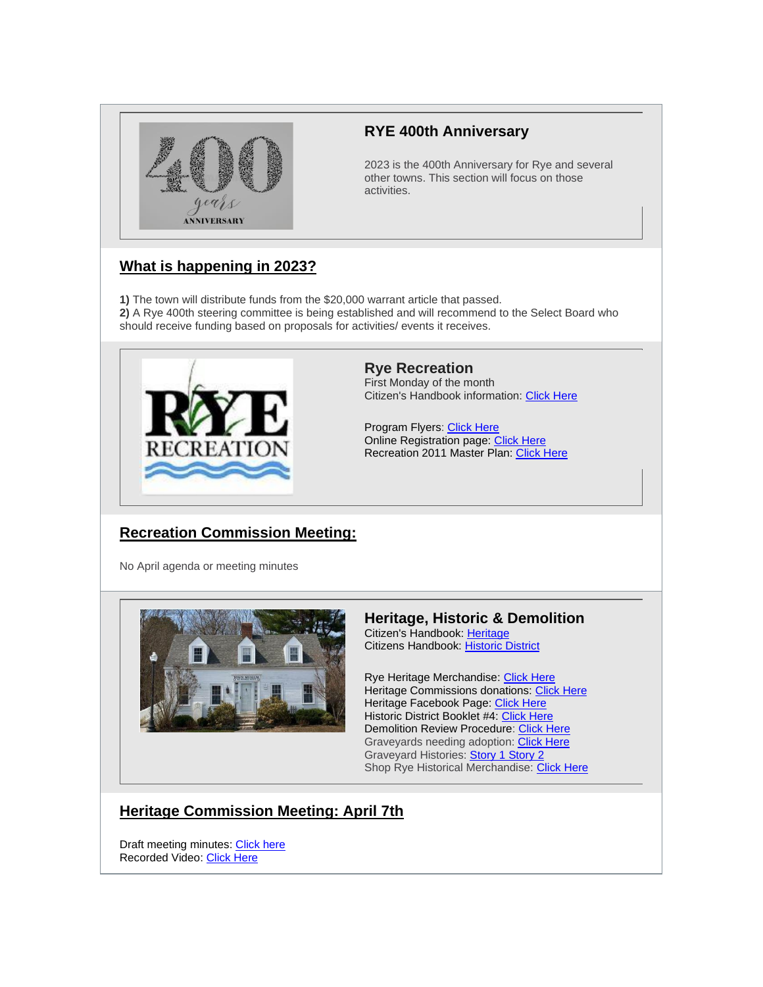

# **RYE 400th Anniversary**

2023 is the 400th Anniversary for Rye and several other towns. This section will focus on those activities.

# **What is happening in 2023?**

**1)** The town will distribute funds from the \$20,000 warrant article that passed. **2)** A Rye 400th steering committee is being established and will recommend to the Select Board who should receive funding based on proposals for activities/ events it receives.



**Rye Recreation** First Monday of the month Citizen's Handbook information: [Click Here](https://ryecivicleague.org/wp-content/uploads/2020/10/Recreation-2020.pdf)

Program Flyers: [Click](https://www.town.rye.nh.us/recreation/pages/program-flyers) Here Online Registration page: [Click Here](https://web1.vermontsystems.com/wbwsc/nhryewt.wsc/splash.html) Recreation 2011 Master Plan: [Click Here](https://www.town.rye.nh.us/sites/g/files/vyhlif3751/f/uploads/rye_recreation_department_master_plan_2011.pdf)

# **Recreation Commission Meeting:**

No April agenda or meeting minutes



# **Heritage, Historic & Demolition**

Citizen's Handbook: [Heritage](https://ryecivicleague.org/wp-content/uploads/2020/10/Heritage-Commision-2020.pdf) Citizens Handbook: [Historic District](https://ryecivicleague.org/wp-content/uploads/2020/10/Historic-2020.pdf)

Rye Heritage Merchandise: [Click Here](https://www.town.rye.nh.us/sites/g/files/vyhlif3751/f/uploads/hat_order_form.pdf) Heritage Commissions donations: [Click Here](https://www.eb2gov.com/EB2Gov.dll/TownLaunch?towncode=6862) Heritage Facebook Page: [Click Here](https://www.facebook.com/ryeheritage) Historic District Booklet #4: [Click Here](https://www.town.rye.nh.us/sites/g/files/vyhlif3751/f/uploads/hdc_booklet_4th_edition.pdf) Demolition Review Procedure: [Click Here](https://www.town.rye.nh.us/sites/g/files/vyhlif3751/f/uploads/demo_review_procedure_2012.pdf) Graveyards needing adoption: [Click Here](https://www.town.rye.nh.us/sites/g/files/vyhlif3751/f/uploads/graveyard_list_4-21-21.jpg) Graveyard Histories: **[Story 1](https://www.town.rye.nh.us/sites/g/files/vyhlif3751/f/uploads/graveyard_1.pdf) [Story 2](https://www.town.rye.nh.us/sites/g/files/vyhlif3751/f/uploads/graveyard_2.pdf)** Shop Rye Historical Merchandise: [Click Here](https://www.ryenhhistoricalsociety.org/gift-shop)

# **Heritage Commission Meeting: April 7th**

Draft meeting minutes: [Click here](https://www.town.rye.nh.us/sites/g/files/vyhlif3751/f/minutes/04-07-22_hc_minutes.pdf) Recorded Video: [Click Here](https://townhallstreams.com/stream.php?location_id=32&id=44602)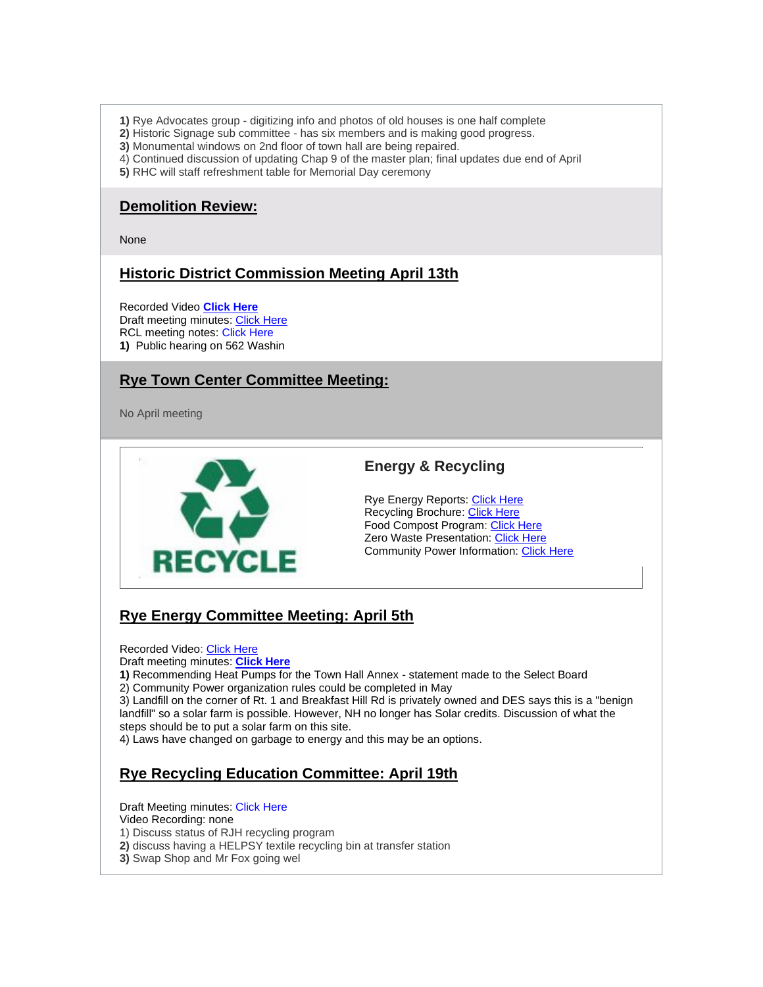- **1)** Rye Advocates group digitizing info and photos of old houses is one half complete
- **2)** Historic Signage sub committee has six members and is making good progress.
- **3)** Monumental windows on 2nd floor of town hall are being repaired.
- 4) Continued discussion of updating Chap 9 of the master plan; final updates due end of April
- **5)** RHC will staff refreshment table for Memorial Day ceremony

### **Demolition Review:**

None

# **Historic District Commission Meeting April 13th**

Recorded Video **[Click Here](https://townhallstreams.com/stream.php?location_id=32&id=44606)** Draft meeting minutes: [Click Here](https://www.town.rye.nh.us/sites/g/files/vyhlif3751/f/minutes/04-07-22_hc_minutes.pdf) RCL meeting notes: Click Here **1)** Public hearing on 562 Washin

# **Rye Town Center Committee Meeting:**

No April meeting



# **Energy & Recycling**

Rye Energy Reports: [Click Here](https://www.town.rye.nh.us/energy-committee/pages/rye-energy-reports) Recycling Brochure: [Click Here](https://www.town.rye.nh.us/sites/g/files/vyhlif3751/f/uploads/recycling_center_brochure.pdf) Food Compost Program: [Click Here](https://www.town.rye.nh.us/sites/g/files/vyhlif3751/f/uploads/updated_rye_food_waste_collection_info_11_17_15.pdf) **Zero Waste Presentation: [Click Here](https://www.town.rye.nh.us/sites/g/files/vyhlif3751/f/uploads/wastezero_presentation_12-15-14.pdf)** Community Power Information: [Click Here](https://ryecivicleague.org/wp-content/uploads/2021/10/Brochure-two-pager-Community-Power.pdf)

# **Rye Energy Committee Meeting: April 5th**

Recorded Video: [Click Here](https://townhallstreams.com/stream.php?location_id=32&id=44600)

Draft meeting minutes: **[Click Here](https://www.town.rye.nh.us/sites/g/files/vyhlif3751/f/minutes/04-05-22_rec_minutes.pdf)**

**1)** Recommending Heat Pumps for the Town Hall Annex - statement made to the Select Board

2) Community Power organization rules could be completed in May

3) Landfill on the corner of Rt. 1 and Breakfast Hill Rd is privately owned and DES says this is a "benign landfill" so a solar farm is possible. However, NH no longer has Solar credits. Discussion of what the steps should be to put a solar farm on this site.

4) Laws have changed on garbage to energy and this may be an options.

# **Rye Recycling Education Committee: April 19th**

Draft Meeting minutes: Click Here

Video Recording: none

- 1) Discuss status of RJH recycling program
- **2)** discuss having a HELPSY textile recycling bin at transfer station
- **3)** Swap Shop and Mr Fox going wel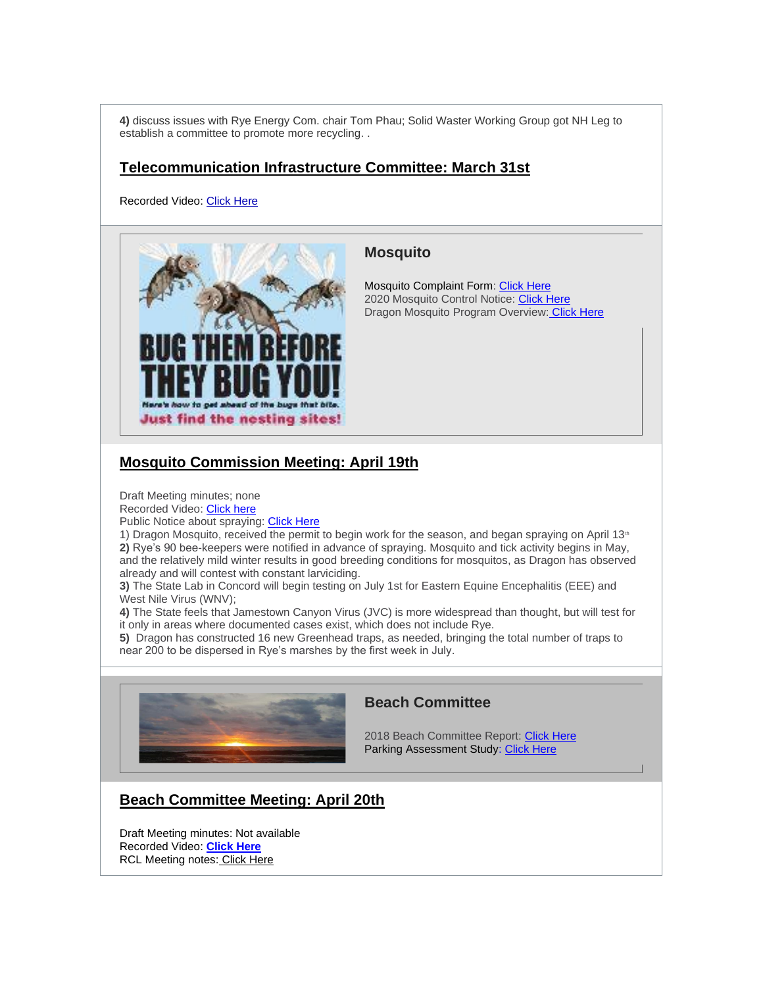**4)** discuss issues with Rye Energy Com. chair Tom Phau; Solid Waster Working Group got NH Leg to establish a committee to promote more recycling. .

### **Telecommunication Infrastructure Committee: March 31st**

Recorded Video: [Click Here](https://townhallstreams.com/stream.php?location_id=32&id=36502)



### **Mosquito**

Mosquito Complaint Form: [Click Here](https://www.town.rye.nh.us/sites/g/files/vyhlif3751/f/uploads/rmcc_complaint_report_form.pdf) 2020 Mosquito Control Notice: [Click Here](https://www.town.rye.nh.us/sites/g/files/vyhlif3751/f/uploads/rye_2020_0.pdf) Dragon Mosquito Program Overview: [Click Here](https://www.dropbox.com/sh/5x4xppdpjdwwpkl/AADqvMwqm98Ze-l5W_YnKQ1wa/2020%20Minutes/October?dl=0&preview=BOT+10-13-2020+Meeting.mp4&subfolder_nav_tracking=1)

# **Mosquito Commission Meeting: April 19th**

Draft Meeting minutes; none

Recorded Video: [Click here](https://townhallstreams.com/stream.php?location_id=32&id=44608)

Public Notice about spraying: [Click Here](https://www.town.rye.nh.us/sites/g/files/vyhlif3751/f/uploads/rye_spray_notice_2022.pdf)

1) Dragon Mosquito, received the permit to begin work for the season, and began spraying on April 13<sup>th</sup> **2)** Rye's 90 bee-keepers were notified in advance of spraying. Mosquito and tick activity begins in May, and the relatively mild winter results in good breeding conditions for mosquitos, as Dragon has observed already and will contest with constant larviciding.

**3)** The State Lab in Concord will begin testing on July 1st for Eastern Equine Encephalitis (EEE) and West Nile Virus (WNV);

**4)** The State feels that Jamestown Canyon Virus (JVC) is more widespread than thought, but will test for it only in areas where documented cases exist, which does not include Rye.

**5)** Dragon has constructed 16 new Greenhead traps, as needed, bringing the total number of traps to near 200 to be dispersed in Rye's marshes by the first week in July.



### **Beach Committee**

2018 Beach Committee Report: [Click Here](https://www.town.rye.nh.us/sites/g/files/vyhlif3751/f/uploads/beach_committee_report_2018.pdf) Parking Assessment Study: [Click Here](https://www.town.rye.nh.us/sites/g/files/vyhlif3751/f/uploads/traffic_assessment_0.pdf)

# **Beach Committee Meeting: April 20th**

Draft Meeting minutes: Not available Recorded Video: **[Click Here](https://townhallstreams.com/stream.php?location_id=32&id=44609)** RCL Meeting notes: Click [Here](https://ryecivicleague.org/wp-content/uploads/2022/04/Rye-Beach-Committee-meeting-summary-4.20.22.pdf)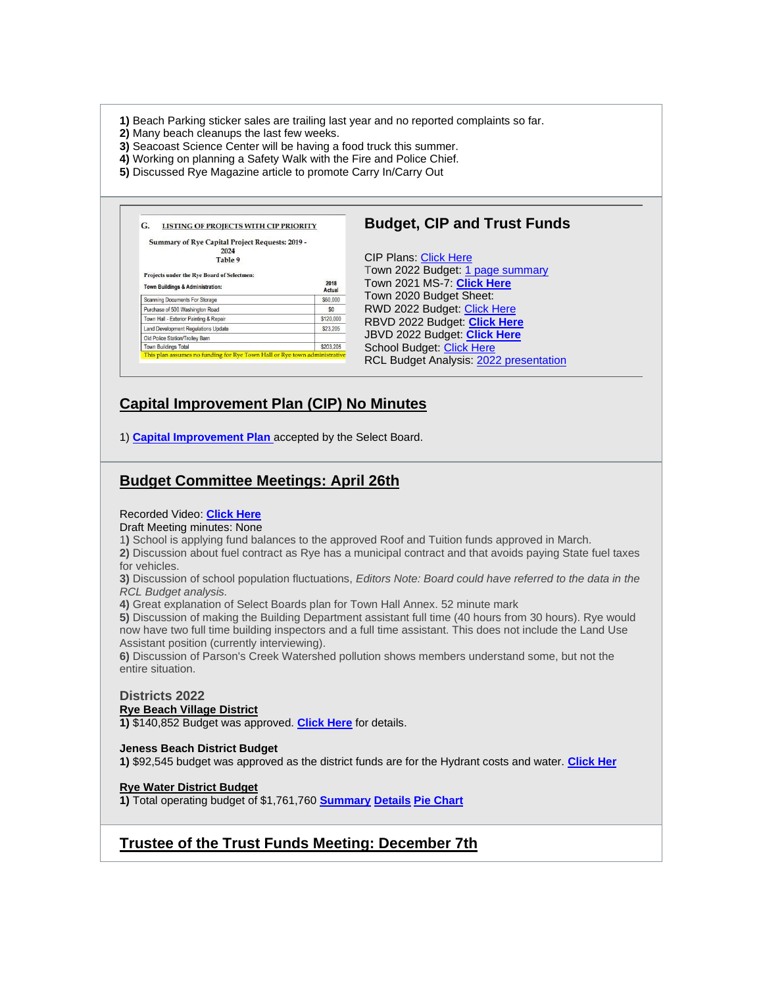**1)** Beach Parking sticker sales are trailing last year and no reported complaints so far.

- **2)** Many beach cleanups the last few weeks.
- **3)** Seacoast Science Center will be having a food truck this summer.
- **4)** Working on planning a Safety Walk with the Fire and Police Chief.
- **5)** Discussed Rye Magazine article to promote Carry In/Carry Out

| Summary of Rye Capital Project Requests: 2019 - |                |                                  |
|-------------------------------------------------|----------------|----------------------------------|
| 2024<br>Table 9                                 |                | <b>CIP Plans: Click Here</b>     |
| Projects under the Rye Board of Selectmen:      |                | Town 2022 Budget: 1 page summary |
| Town Buildings & Administration:                | 2018<br>Actual | Town 2021 MS-7: Click Here       |
| Scanning Documents For Storage                  | \$60,000       | Town 2020 Budget Sheet:          |
| Purchase of 500 Washington Road                 | \$0            | RWD 2022 Budget: Click Here      |
| Town Hall - Exterior Painting & Repair          | \$120,000      | RBVD 2022 Budget: Click Here     |
| Land Development Regulations Update             | \$23,205       |                                  |
| Old Police Station/Trolley Barn                 |                | JBVD 2022 Budget: Click Here     |
| <b>Town Buildings Total</b>                     | \$203.205      | School Budget: Click Here        |

# **Capital Improvement Plan (CIP) No Minutes**

1) **[Capital Improvement Plan](https://www.town.rye.nh.us/sites/g/files/vyhlif3751/f/uploads/2022-2027_cip_final.pdf)** accepted by the Select Board.

### **Budget Committee Meetings: April 26th**

#### Recorded Video: **[Click Here](https://townhallstreams.com/stream.php?location_id=32&id=44611)**

Draft Meeting minutes: None

1**)** School is applying fund balances to the approved Roof and Tuition funds approved in March.

**2)** Discussion about fuel contract as Rye has a municipal contract and that avoids paying State fuel taxes for vehicles.

**3)** Discussion of school population fluctuations, *Editors Note: Board could have referred to the data in the RCL Budget analysis.*

**4)** Great explanation of Select Boards plan for Town Hall Annex. 52 minute mark

**5)** Discussion of making the Building Department assistant full time (40 hours from 30 hours). Rye would now have two full time building inspectors and a full time assistant. This does not include the Land Use Assistant position (currently interviewing).

**6)** Discussion of Parson's Creek Watershed pollution shows members understand some, but not the entire situation.

#### **Districts 2022 Rye Beach Village District 1)** \$140,852 Budget was approved. **[Click Here](https://ryecivicleague.org/wp-content/uploads/2022/02/RBVD-2022-Proposed-Budget.pdf)** for details.

### **Jeness Beach District Budget**

**1)** \$92,545 budget was approved as the district funds are for the Hydrant costs and water. **[Click Her](https://ryecivicleague.org/wp-content/uploads/2022/02/JBVD-Budget-2022-1.pdf)**

### **Rye Water District Budget**

**1)** Total operating budget of \$1,761,760 **[Summary](https://ryecivicleague.org/wp-content/uploads/2022/02/RWD-BUDGET-SUMMARY-2022.pdf) [Details](https://ryecivicleague.org/wp-content/uploads/2022/02/RWD-BUDGET-2022.pdf) [Pie Chart](https://ryecivicleague.org/wp-content/uploads/2022/02/RWD-APPROPRIATIONS-BY-DEPT-2022.pdf)**

# **Trustee of the Trust Funds Meeting: December 7th**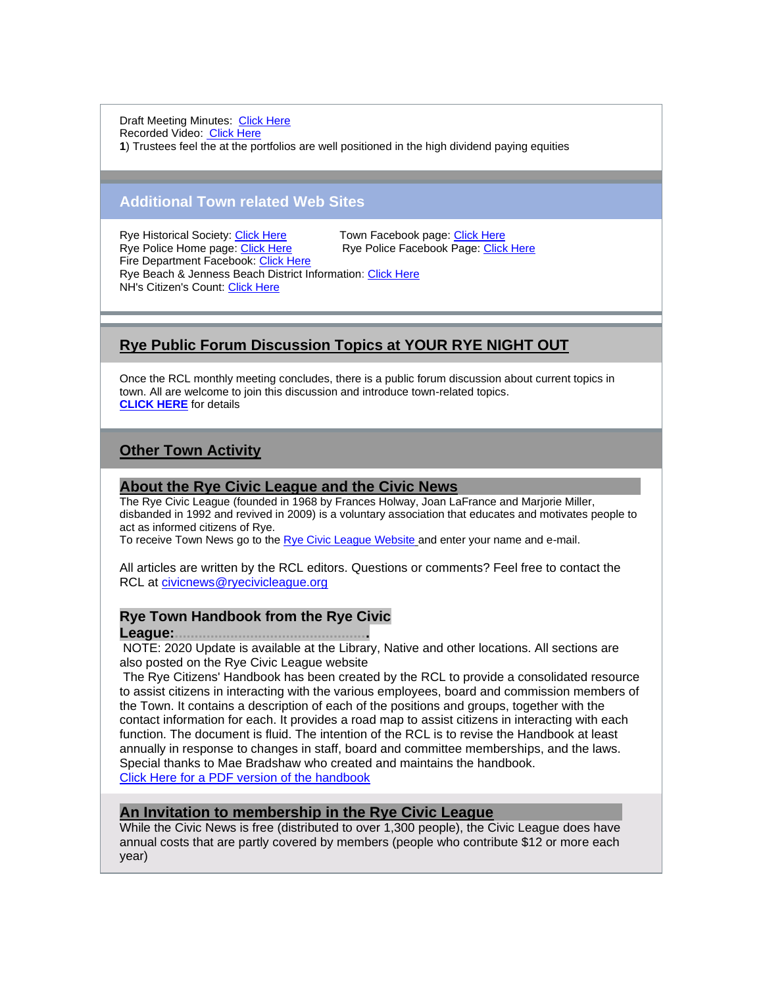Draft Meeting Minutes: [Click Here](https://www.town.rye.nh.us/sites/g/files/vyhlif3751/f/minutes/12-07-21_ttf_minutes.pdf) Recorded Video: [Click Here](https://www.townhallstreams.com/stream.php?location_id=32&id=41529) **1**) Trustees feel the at the portfolios are well positioned in the high dividend paying equities

### **Additional Town related Web Sites**

Rye Historical Society: [Click Here.](https://www.ryenhhistoricalsociety.org/)................Town Facebook page: [Click Here](https://www.facebook.com/TownofRyeNH/) Fire Department Facebook: [Click Here](https://www.facebook.com/RyeFireRescue/) Rye Beach & Jenness Beach District Information: [Click Here](https://ryecivicleague.org/?p=2380) NH's Citizen's Count: [Click Here](https://www.citizenscount.org/)

Rye Police Facebook Page: [Click Here](https://www.facebook.com/ryepolice/)

# **Rye Public Forum Discussion Topics at YOUR RYE NIGHT OUT**

Once the RCL monthly meeting concludes, there is a public forum discussion about current topics in town. All are welcome to join this discussion and introduce town-related topics. **[CLICK HERE](https://ryecivicleague.org/?p=6194)** for details

# **Other Town Activity**

### **About the Rye Civic League and the Civic News...**

The Rye Civic League (founded in 1968 by Frances Holway, Joan LaFrance and Marjorie Miller, disbanded in 1992 and revived in 2009) is a voluntary association that educates and motivates people to act as informed citizens of Rye.

To receive Town News go to the [Rye Civic League Website](http://r20.rs6.net/tn.jsp?t=xkvxbzabb.0.0.dyij4jiab.0&id=preview&r=3&p=http%3A%2F%2Fryecivicleague.org%2F) [a](http://r20.rs6.net/tn.jsp?t=xkvxbzabb.0.0.dyij4jiab.0&id=preview&r=3&p=http%3A%2F%2Fryecivicleague.org%2F)nd enter your name and e-mail.

All articles are written by the RCL editors. Questions or comments? Feel free to contact the RCL at [civicnews@ryecivicleague.org](mailto:civicnews@ryecivicleague.org)

### **Rye Town Handbook from the Rye Civic**

### **League:.................................................**

NOTE: 2020 Update is available at the Library, Native and other locations. All sections are also posted on the Rye Civic League website

The Rye Citizens' Handbook has been created by the RCL to provide a consolidated resource to assist citizens in interacting with the various employees, board and commission members of the Town. It contains a description of each of the positions and groups, together with the contact information for each. It provides a road map to assist citizens in interacting with each function. The document is fluid. The intention of the RCL is to revise the Handbook at least annually in response to changes in staff, board and committee memberships, and the laws. Special thanks to Mae Bradshaw who created and maintains the handbook. [Click Here for a PDF version of the handbook](https://ryecivicleague.org/wp-content/uploads/2021/10/final-handbook-2021-Final.pdf)

### **An Invitation to membership in the Rye Civic League.**

While the Civic News is free (distributed to over 1,300 people), the Civic League does have annual costs that are partly covered by members (people who contribute \$12 or more each year)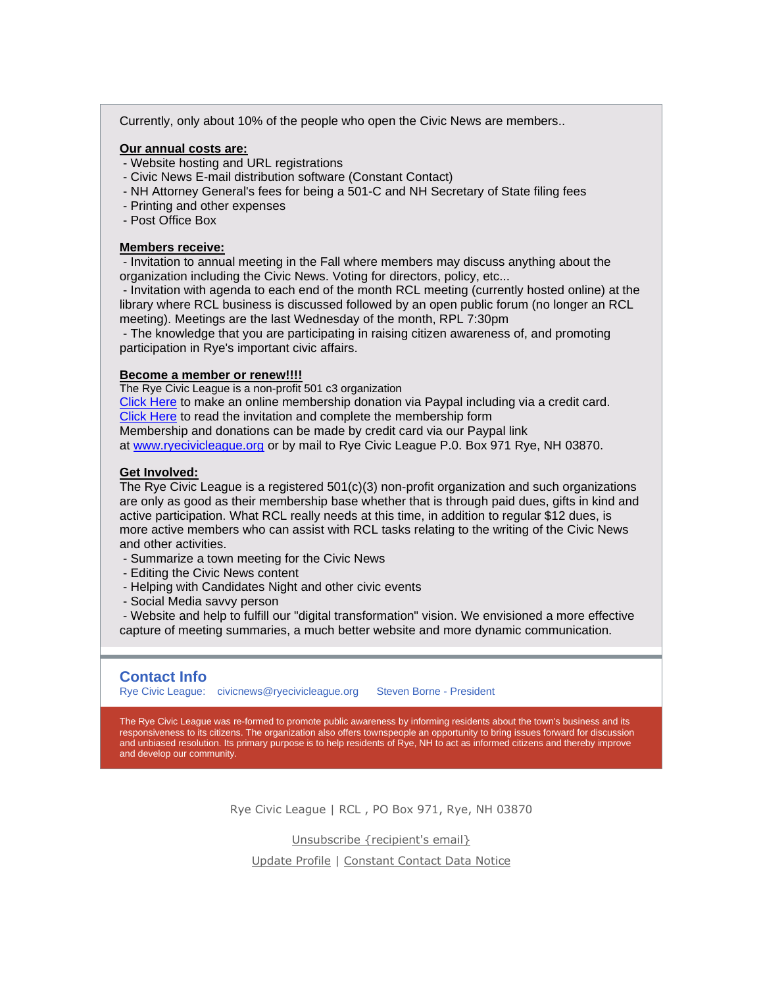Currently, only about 10% of the people who open the Civic News are members..

#### **Our annual costs are:**

- Website hosting and URL registrations
- Civic News E-mail distribution software (Constant Contact)
- NH Attorney General's fees for being a 501-C and NH Secretary of State filing fees
- Printing and other expenses
- Post Office Box

#### **Members receive:**

- Invitation to annual meeting in the Fall where members may discuss anything about the organization including the Civic News. Voting for directors, policy, etc...

- Invitation with agenda to each end of the month RCL meeting (currently hosted online) at the library where RCL business is discussed followed by an open public forum (no longer an RCL meeting). Meetings are the last Wednesday of the month, RPL 7:30pm

- The knowledge that you are participating in raising citizen awareness of, and promoting participation in Rye's important civic affairs.

### **Become a member or renew!!!!**

The Rye Civic League is a non-profit 501 c3 organization

[Click Here](https://www.paypal.com/donate?hosted_button_id=TF7ZYQ2M4EJR4) to make an online membership donation via Paypal including via a credit card. [Click Here](http://r20.rs6.net/tn.jsp?t=xkvxbzabb.0.0.dyij4jiab.0&id=preview&r=3&p=http%3A%2F%2Fryecivicleague.org%2Fwp-content%2Fuploads%2F2013%2F05%2FRCL-Membership-Drive-Letter-2013.pdf) to read the invitation and complete the membership form

Membership and donations can be made by credit card via our Paypal link

at [www.ryecivicleague.org](http://r20.rs6.net/tn.jsp?t=xkvxbzabb.0.0.dyij4jiab.0&id=preview&r=3&p=http%3A%2F%2Fwww.ryecivicleague.org) or by mail to Rye Civic League P.0. Box 971 Rye, NH 03870.

#### **Get Involved:**

The Rye Civic League is a registered 501(c)(3) non-profit organization and such organizations are only as good as their membership base whether that is through paid dues, gifts in kind and active participation. What RCL really needs at this time, in addition to regular \$12 dues, is more active members who can assist with RCL tasks relating to the writing of the Civic News and other activities.

- Summarize a town meeting for the Civic News
- Editing the Civic News content
- Helping with Candidates Night and other civic events
- Social Media savvy person

- Website and help to fulfill our "digital transformation" vision. We envisioned a more effective capture of meeting summaries, a much better website and more dynamic communication.

### **Contact Info**

Rye Civic League: [civicnews@ryecivicleague.org](mailto:civicnews@ryecivicleague.org)  Steven Borne - President

The Rye Civic League was re-formed to promote public awareness by informing residents about the town's business and its responsiveness to its citizens. The organization also offers townspeople an opportunity to bring issues forward for discussion and unbiased resolution. Its primary purpose is to help residents of Rye, NH to act as informed citizens and thereby improve and develop our community.

Rye Civic League | RCL , PO Box 971, Rye, NH 03870

[Unsubscribe {recipient's email}](https://em-ui.constantcontact.com/em-ui/em/frame/previewtest/4cb2e6a3-f084-416d-9c03-29fd33a762a3?previewTestJSVersion=0.1.226&previewTestJSHash=bdac8b0d43f4bbfe8cb5)

[Update Profile](https://em-ui.constantcontact.com/em-ui/em/frame/previewtest/4cb2e6a3-f084-416d-9c03-29fd33a762a3?previewTestJSVersion=0.1.226&previewTestJSHash=bdac8b0d43f4bbfe8cb5) | [Constant Contact Data Notice](https://www.constantcontact.com/legal/customer-contact-data-notice)